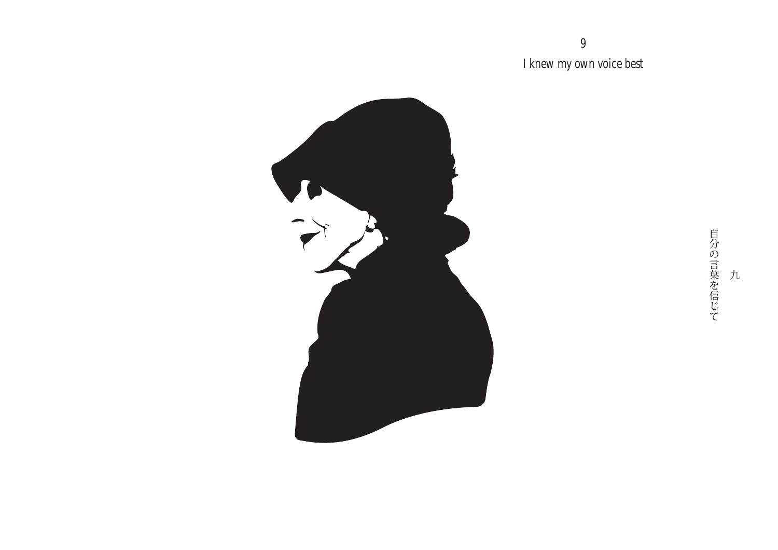I knew my own voice best

9



自分の言葉を信じて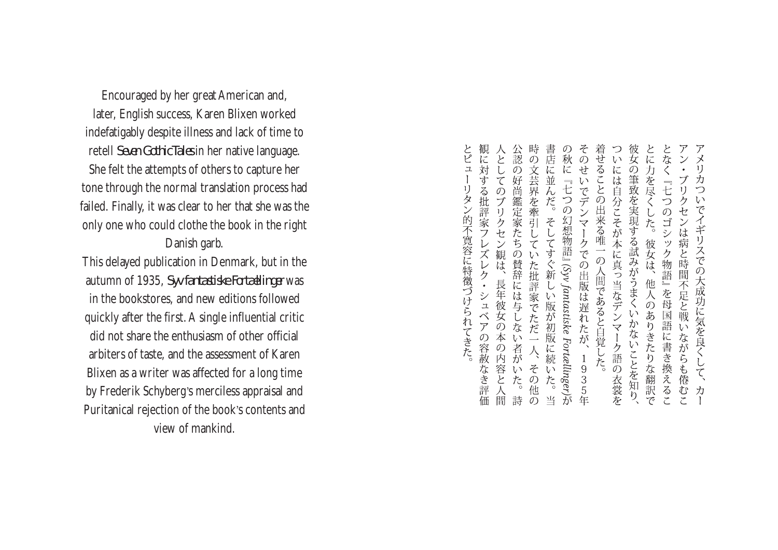Encouraged by her great American and, later, English success, Karen Blixen worked indefatigably despite illness and lack of time to retell *Seven GothicTales* in her native language. She felt the attempts of others to capture her tone through the normal translation process had failed. Finally, it was clear to her that she was the only one who could clothe the book in the right Danish garb.

This delayed publication in Denmark, but in the autumn of 1935, *Syv fantastiske Fortællinger* was in the bookstores, and new editions followed quickly after the first.A single influential critic did not share the enthusiasm of other official arbiters of taste, and the assessment of Karen Blixen as a writer was affected for a long time by Frederik Schyberg's merciless appraisal and Puritanical rejection of the book's contents and view of mankind.

書店に並んだ。 そのせいでデンマークでの出版は遅れたが、1935 着せることの出来る唯一の人間であると自覚した。 彼女の筆致を実現する試みがうまくいかないことを知り、 とな 公認の好尚鑑定家たちの賛辞には与しない者がいた。詩時の文芸界を牽引していた批評家でただ一人、その他の とに力を尽くした。 秋に『七つの幻想物語』(Syv fantastiske Fortcellinger)が いには自分こそが本に真っ当なデンマーク語の衣裳を  $\mathcal{Y}$ IJ ブリ -<br>七 力  $\frac{1}{2}$ クセン つのゴシック物語』を母国語に書き換えるこ でイギリスでの大成功に気を良くし そしてすぐ新しい版が初版に続いた。 は病と時間不足と戦いながらも倦むこ 彼女は、他人のありきたりな翻訳で  $\overline{\zeta}$ 力 当 年

観に対する批評家フレ

スレ ク

シュ

 $\frac{1}{\gamma}$ 

の容赦

なを評

 $\mathfrak{I}$ 

リタン的不寛容に特徴づけら

れてきた。

人としてのブリクセン観は、

長年彼女の本の内容と人間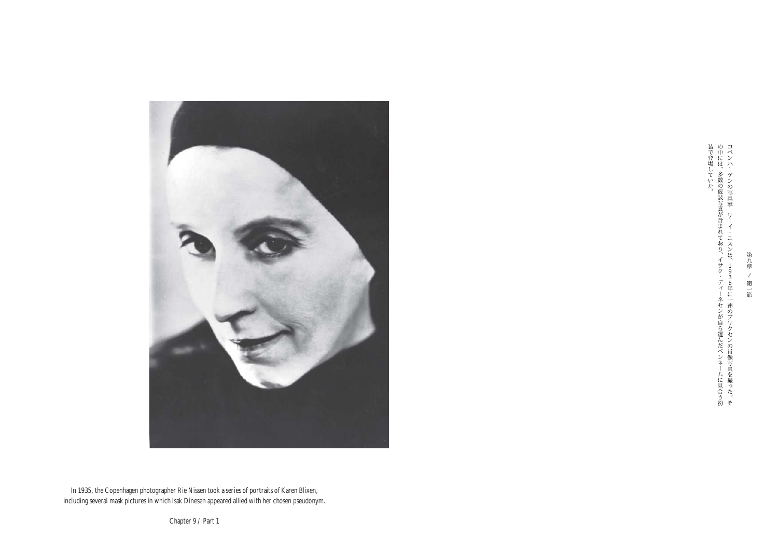

装で登場していた。<br>の中には、多数の仮装写真が含まれており、イサク・ディーネセンが自ら選んだペンネームに見合う扮コペンハーゲンの写真家―リーイ・ニスンは、1935年に一連のブリクセンの肖像写真を撮った。そ

第九章  $\overline{\mathscr{S}}$ 第一節

In 1935, the Copenhagen photographer Rie Nissen took a series of portraits of Karen Blixen, including several mask pictures in which Isak Dinesen appeared allied with her chosen pseudonym.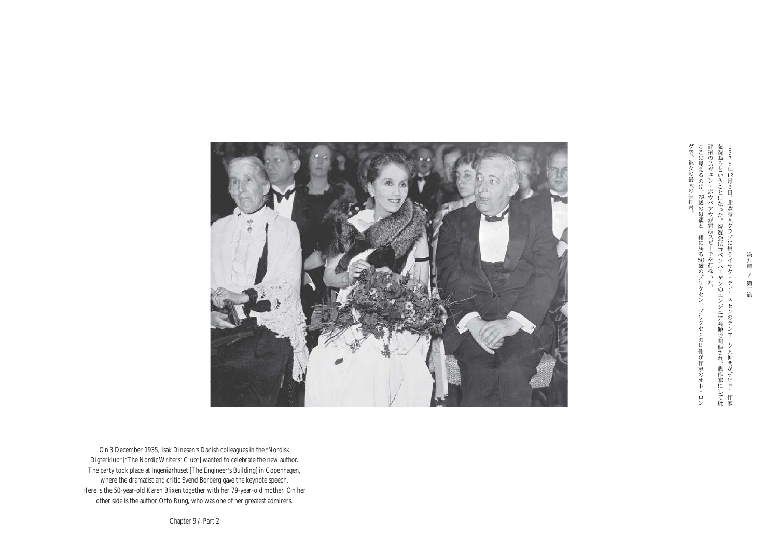ここに見えるのは、79歳の母親と一緒に居る50歳のブリクセン。評家のスヴェン・ボウベアウが冒頭スピーチを行なった。を祝おうということになった。祝賀会はコペンハーゲンのエンジ1935年12月3日、北欧詩人クラブに集うイサク・ディーネャ ーゲンのエンジニア会館で開催され、劇作家にして批ク・ディーネセンのデンマーク人仲間がデビュー作家 ブリクセンの片側が作家のオト・ロン

グで、彼女の最大の崇拝者。



On 3 December 1935, Isak Dinesen's Danish colleagues in the "Nordisk Digterklub" ["The Nordic Writers' Club"] wanted to celebrate the new author. The party took place at Ingeniørhuset [The Engineer's Building] in Copenhagen, where the dramatist and critic Svend Borberg gave the keynote speech. Here is the 50-year-old Karen Blixen together with her 79-year-old mother. On her other side is the author Otto Rung, who was one of her greatest admirers.

Chapter 9 / Part 2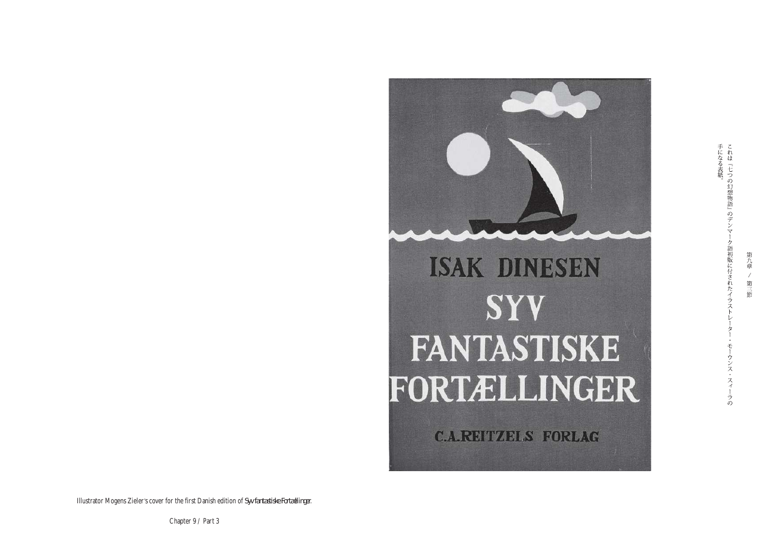

手になる表紙。<br>これは『七つの幻想物語』のデンマー ク語初版に付されたイラスト モーウンス・スィーラの

第九章

 $\overline{\mathscr{S}}$ 第三節

Illustrator Mogens Zieler's cover for the first Danish edition of *Syv fantastiske Fortællinger*.